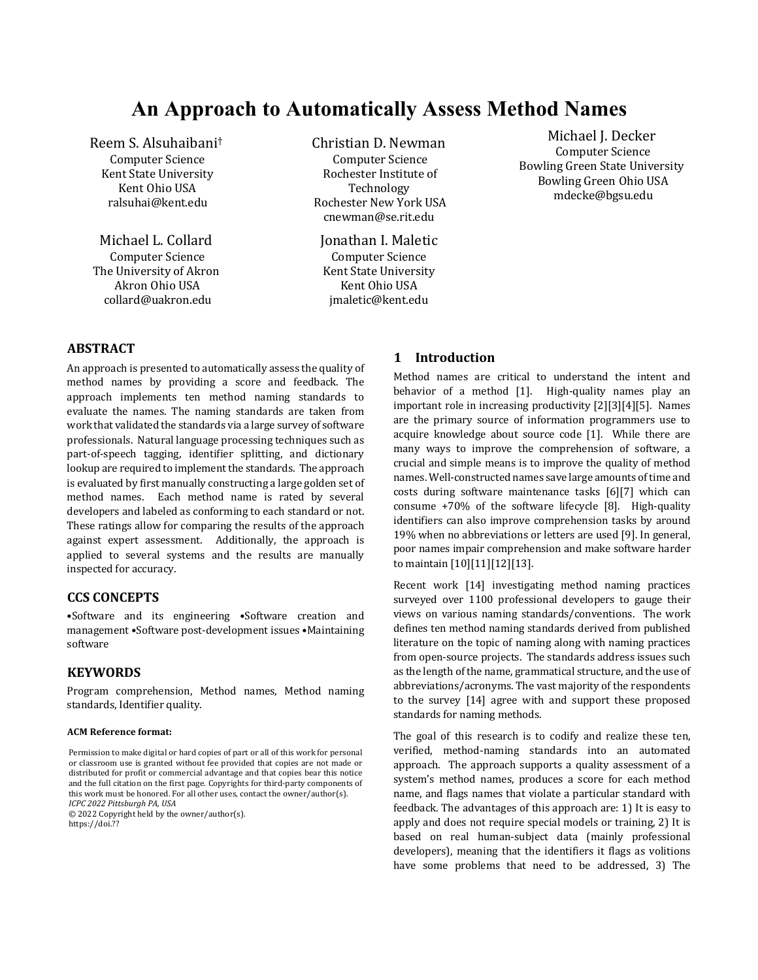# **An Approach to Automatically Assess Method Names**

Reem S. Alsuhaibani† Computer Science Kent State University Kent Ohio USA ralsuhai@kent.edu

Michael L. Collard Computer Science The University of Akron Akron Ohio USA collard@uakron.edu

Christian D. Newman Computer Science Rochester Institute of Technology Rochester New York USA cnewman@se.rit.edu

Jonathan I. Maletic Computer Science **Kent State University** Kent Ohio USA jmaletic@kent.edu

Michael J. Decker Computer Science Bowling Green State University Bowling Green Ohio USA mdecke@bgsu.edu

## **ABSTRACT**

An approach is presented to automatically assess the quality of method names by providing a score and feedback. The approach implements ten method naming standards to evaluate the names. The naming standards are taken from work that validated the standards via a large survey of software professionals. Natural language processing techniques such as part-of-speech tagging, identifier splitting, and dictionary lookup are required to implement the standards. The approach is evaluated by first manually constructing a large golden set of method names. Each method name is rated by several developers and labeled as conforming to each standard or not. These ratings allow for comparing the results of the approach against expert assessment. Additionally, the approach is applied to several systems and the results are manually inspected for accuracy.

## **CCS CONCEPTS**

•Software and its engineering •Software creation and management •Software post-development issues •Maintaining software

#### **KEYWORDS**

Program comprehension, Method names, Method naming standards, Identifier quality.

#### **ACM Reference format:**

© 2022 Copyright held by the owner/author(s).

https://doi.??

#### **1 Introduction**

Method names are critical to understand the intent and behavior of a method  $[1]$ . High-quality names play an important role in increasing productivity  $[2][3][4][5]$ . Names are the primary source of information programmers use to acquire knowledge about source code [1]. While there are many ways to improve the comprehension of software, a crucial and simple means is to improve the quality of method names. Well-constructed names save large amounts of time and costs during software maintenance tasks [6][7] which can consume  $+70\%$  of the software lifecycle [8]. High-quality identifiers can also improve comprehension tasks by around 19% when no abbreviations or letters are used [9]. In general, poor names impair comprehension and make software harder to maintain [10][11][12][13]. 

Recent work [14] investigating method naming practices surveyed over 1100 professional developers to gauge their views on various naming standards/conventions. The work defines ten method naming standards derived from published literature on the topic of naming along with naming practices from open-source projects. The standards address issues such as the length of the name, grammatical structure, and the use of abbreviations/acronyms. The vast majority of the respondents to the survey [14] agree with and support these proposed standards for naming methods.

The goal of this research is to codify and realize these ten, verified, method-naming standards into an automated approach. The approach supports a quality assessment of a system's method names, produces a score for each method name, and flags names that violate a particular standard with feedback. The advantages of this approach are: 1) It is easy to apply and does not require special models or training, 2) It is based on real human-subject data (mainly professional developers), meaning that the identifiers it flags as volitions have some problems that need to be addressed, 3) The

Permission to make digital or hard copies of part or all of this work for personal or classroom use is granted without fee provided that copies are not made or distributed for profit or commercial advantage and that copies bear this notice and the full citation on the first page. Copyrights for third-party components of this work must be honored. For all other uses, contact the owner/author(s). *ICPC 2022 Pittsburgh PA, USA*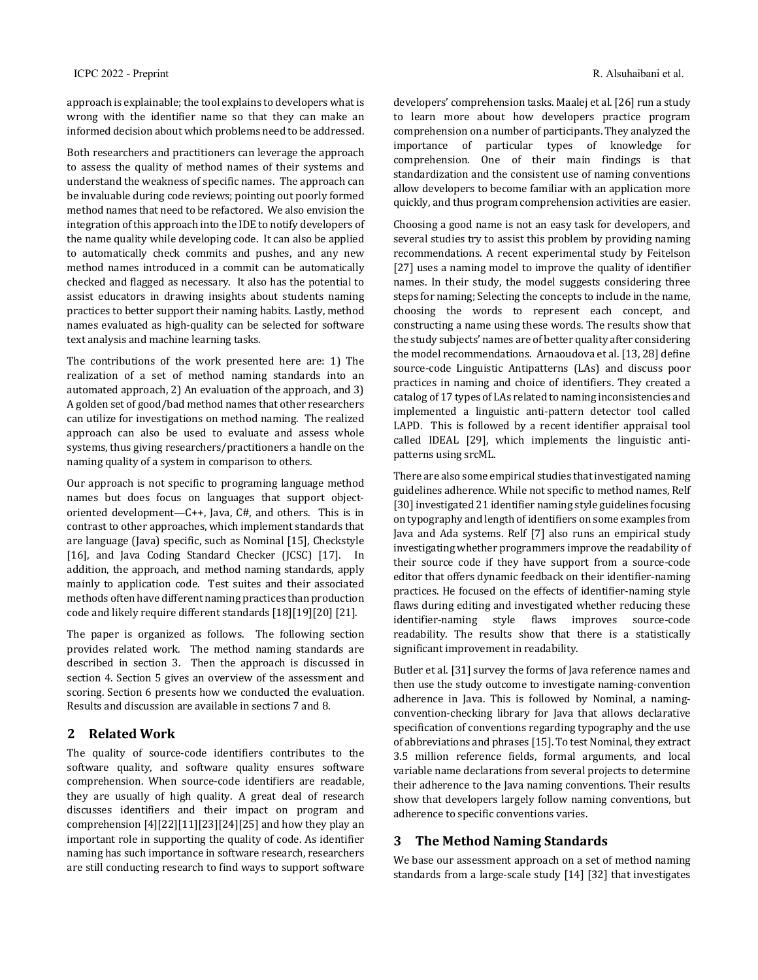approach is explainable; the tool explains to developers what is wrong with the identifier name so that they can make an informed decision about which problems need to be addressed.

Both researchers and practitioners can leverage the approach to assess the quality of method names of their systems and understand the weakness of specific names. The approach can be invaluable during code reviews; pointing out poorly formed method names that need to be refactored. We also envision the integration of this approach into the IDE to notify developers of the name quality while developing code. It can also be applied to automatically check commits and pushes, and any new method names introduced in a commit can be automatically checked and flagged as necessary. It also has the potential to assist educators in drawing insights about students naming practices to better support their naming habits. Lastly, method names evaluated as high-quality can be selected for software text analysis and machine learning tasks.

The contributions of the work presented here are: 1) The realization of a set of method naming standards into an automated approach,  $2$ ) An evaluation of the approach, and  $3$ ) A golden set of good/bad method names that other researchers can utilize for investigations on method naming. The realized approach can also be used to evaluate and assess whole systems, thus giving researchers/practitioners a handle on the naming quality of a system in comparison to others.

Our approach is not specific to programing language method names but does focus on languages that support objectoriented development—C++, Java,  $C#$ , and others. This is in contrast to other approaches, which implement standards that are language (Java) specific, such as Nominal [15], Checkstyle [16], and Java Coding Standard Checker (JCSC) [17]. In addition, the approach, and method naming standards, apply mainly to application code. Test suites and their associated methods often have different naming practices than production code and likely require different standards [18][19][20] [21].

The paper is organized as follows. The following section provides related work. The method naming standards are described in section 3. Then the approach is discussed in section 4. Section 5 gives an overview of the assessment and scoring. Section 6 presents how we conducted the evaluation. Results and discussion are available in sections 7 and 8.

## **2 Related Work**

The quality of source-code identifiers contributes to the software quality, and software quality ensures software comprehension. When source-code identifiers are readable, they are usually of high quality. A great deal of research discusses identifiers and their impact on program and comprehension  $[4][22][11][23][24][25]$  and how they play an important role in supporting the quality of code. As identifier naming has such importance in software research, researchers are still conducting research to find ways to support software

developers' comprehension tasks. Maalej et al. [26] run a study to learn more about how developers practice program comprehension on a number of participants. They analyzed the importance of particular types of knowledge for comprehension. One of their main findings is that standardization and the consistent use of naming conventions allow developers to become familiar with an application more quickly, and thus program comprehension activities are easier.

Choosing a good name is not an easy task for developers, and several studies try to assist this problem by providing naming recommendations. A recent experimental study by Feitelson [27] uses a naming model to improve the quality of identifier names. In their study, the model suggests considering three steps for naming; Selecting the concepts to include in the name, choosing the words to represent each concept, and constructing a name using these words. The results show that the study subjects' names are of better quality after considering the model recommendations. Arnaoudova et al. [13, 28] define source-code Linguistic Antipatterns (LAs) and discuss poor practices in naming and choice of identifiers. They created a catalog of 17 types of LAs related to naming inconsistencies and implemented a linguistic anti-pattern detector tool called LAPD. This is followed by a recent identifier appraisal tool called IDEAL [29], which implements the linguistic antipatterns using srcML.

There are also some empirical studies that investigated naming guidelines adherence. While not specific to method names, Relf [30] investigated 21 identifier naming style guidelines focusing on typography and length of identifiers on some examples from Java and Ada systems. Relf [7] also runs an empirical study investigating whether programmers improve the readability of their source code if they have support from a source-code editor that offers dynamic feedback on their identifier-naming practices. He focused on the effects of identifier-naming style flaws during editing and investigated whether reducing these identifier-naming style flaws improves source-code readability. The results show that there is a statistically significant improvement in readability.

Butler et al. [31] survey the forms of Java reference names and then use the study outcome to investigate naming-convention adherence in Java. This is followed by Nominal, a namingconvention-checking library for Java that allows declarative specification of conventions regarding typography and the use of abbreviations and phrases [15]. To test Nominal, they extract 3.5 million reference fields, formal arguments, and local variable name declarations from several projects to determine their adherence to the Java naming conventions. Their results show that developers largely follow naming conventions, but adherence to specific conventions varies.

## **3 The Method Naming Standards**

We base our assessment approach on a set of method naming standards from a large-scale study [14] [32] that investigates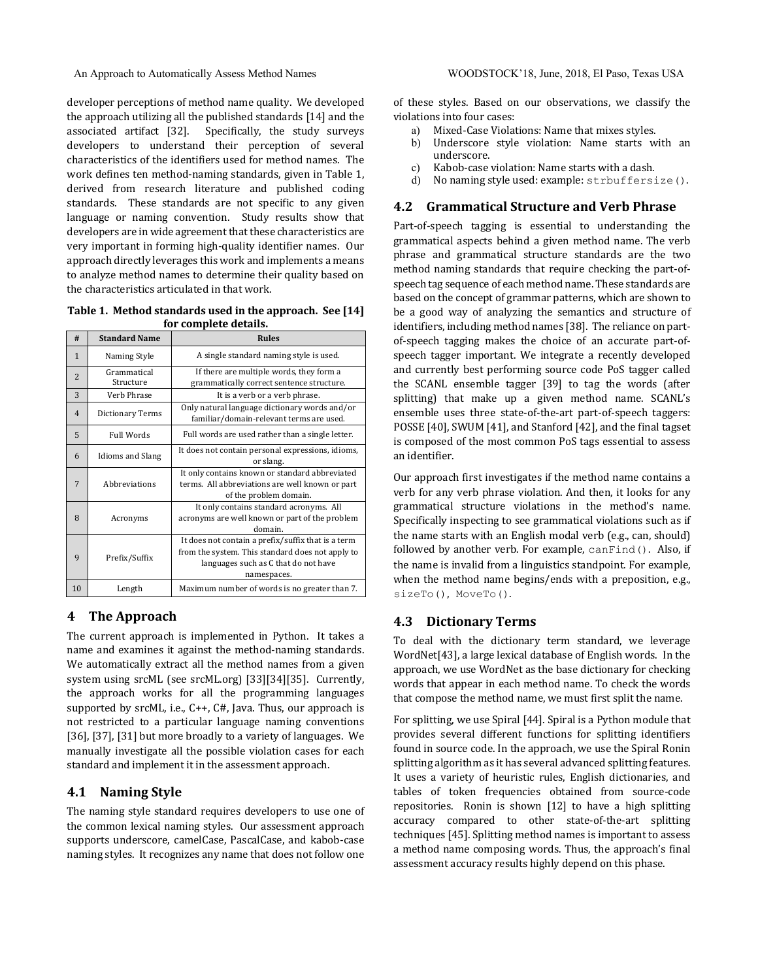developer perceptions of method name quality. We developed the approach utilizing all the published standards [14] and the associated artifact [32]. Specifically, the study surveys developers to understand their perception of several characteristics of the identifiers used for method names. The work defines ten method-naming standards, given in Table 1, derived from research literature and published coding standards. These standards are not specific to any given language or naming convention. Study results show that developers are in wide agreement that these characteristics are very important in forming high-quality identifier names. Our approach directly leverages this work and implements a means to analyze method names to determine their quality based on the characteristics articulated in that work.

Table 1. Method standards used in the approach. See [14] for complete details.

| #              | <b>Standard Name</b>     | <b>Rules</b>                                                                                                                                                  |
|----------------|--------------------------|---------------------------------------------------------------------------------------------------------------------------------------------------------------|
| $\mathbf{1}$   | Naming Style             | A single standard naming style is used.                                                                                                                       |
| $\overline{2}$ | Grammatical<br>Structure | If there are multiple words, they form a<br>grammatically correct sentence structure.                                                                         |
| 3              | Verb Phrase              | It is a verb or a verb phrase.                                                                                                                                |
| $\overline{4}$ | Dictionary Terms         | Only natural language dictionary words and/or<br>familiar/domain-relevant terms are used.                                                                     |
| 5              | <b>Full Words</b>        | Full words are used rather than a single letter.                                                                                                              |
| 6              | Idioms and Slang         | It does not contain personal expressions, idioms,<br>or slang.                                                                                                |
| 7              | Abbreviations            | It only contains known or standard abbreviated<br>terms. All abbreviations are well known or part<br>of the problem domain.                                   |
| 8              | Acronyms                 | It only contains standard acronyms. All<br>acronyms are well known or part of the problem<br>domain.                                                          |
| $\mathbf{q}$   | Prefix/Suffix            | It does not contain a prefix/suffix that is a term<br>from the system. This standard does not apply to<br>languages such as C that do not have<br>namespaces. |
| 10             | Length                   | Maximum number of words is no greater than 7.                                                                                                                 |

## **4 The Approach**

The current approach is implemented in Python. It takes a name and examines it against the method-naming standards. We automatically extract all the method names from a given system using srcML (see srcML.org) [33][34][35]. Currently, the approach works for all the programming languages supported by srcML, i.e., C++, C#, Java. Thus, our approach is not restricted to a particular language naming conventions [36], [37], [31] but more broadly to a variety of languages. We manually investigate all the possible violation cases for each standard and implement it in the assessment approach.

## **4.1 Naming Style**

The naming style standard requires developers to use one of the common lexical naming styles. Our assessment approach supports underscore, camelCase, PascalCase, and kabob-case naming styles. It recognizes any name that does not follow one

of these styles. Based on our observations, we classify the violations into four cases:

- a) Mixed-Case Violations: Name that mixes styles.
- b) Underscore style violation: Name starts with an underscore.
- c) Kabob-case violation: Name starts with a dash.
- d) No naming style used: example: strbuffersize().

## **4.2 Grammatical Structure and Verb Phrase**

Part-of-speech tagging is essential to understanding the grammatical aspects behind a given method name. The verb phrase and grammatical structure standards are the two method naming standards that require checking the part-ofspeech tag sequence of each method name. These standards are based on the concept of grammar patterns, which are shown to be a good way of analyzing the semantics and structure of identifiers, including method names [38]. The reliance on partof-speech tagging makes the choice of an accurate part-ofspeech tagger important. We integrate a recently developed and currently best performing source code PoS tagger called the SCANL ensemble tagger [39] to tag the words (after splitting) that make up a given method name. SCANL's ensemble uses three state-of-the-art part-of-speech taggers: POSSE [40], SWUM [41], and Stanford [42], and the final tagset is composed of the most common PoS tags essential to assess an identifier.

Our approach first investigates if the method name contains a verb for any verb phrase violation. And then, it looks for any grammatical structure violations in the method's name. Specifically inspecting to see grammatical violations such as if the name starts with an English modal verb (e.g., can, should) followed by another verb. For example, canFind(). Also, if the name is invalid from a linguistics standpoint. For example, when the method name begins/ends with a preposition, e.g., sizeTo(), MoveTo(). 

## **4.3 Dictionary Terms**

To deal with the dictionary term standard, we leverage WordNet<sup>[43]</sup>, a large lexical database of English words. In the approach, we use WordNet as the base dictionary for checking words that appear in each method name. To check the words that compose the method name, we must first split the name.

For splitting, we use Spiral [44]. Spiral is a Python module that provides several different functions for splitting identifiers found in source code. In the approach, we use the Spiral Ronin splitting algorithm as it has several advanced splitting features. It uses a variety of heuristic rules, English dictionaries, and tables of token frequencies obtained from source-code repositories. Ronin is shown  $[12]$  to have a high splitting accuracy compared to other state-of-the-art splitting techniques [45]. Splitting method names is important to assess a method name composing words. Thus, the approach's final assessment accuracy results highly depend on this phase.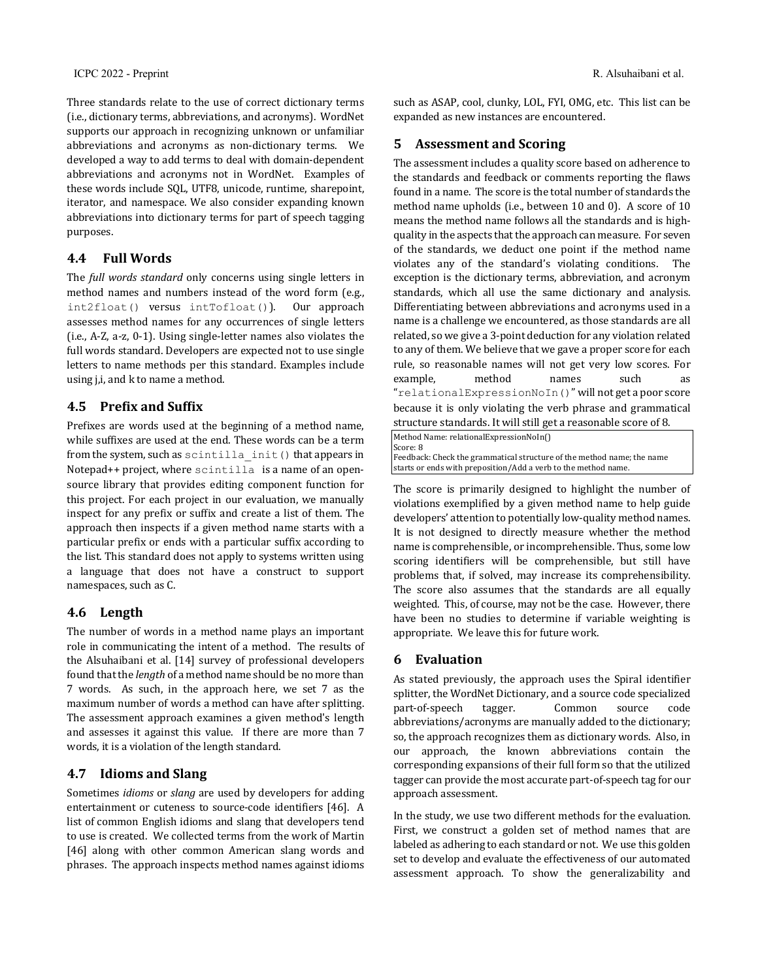Three standards relate to the use of correct dictionary terms (i.e., dictionary terms, abbreviations, and acronyms). WordNet supports our approach in recognizing unknown or unfamiliar abbreviations and acronyms as non-dictionary terms. We developed a way to add terms to deal with domain-dependent abbreviations and acronyms not in WordNet. Examples of these words include SQL, UTF8, unicode, runtime, sharepoint, iterator, and namespace. We also consider expanding known abbreviations into dictionary terms for part of speech tagging purposes. 

## **4.4 Full Words**

The *full words standard* only concerns using single letters in method names and numbers instead of the word form (e.g.,  $int2float()$  versus  $intTofloat()$ ). Our approach assesses method names for any occurrences of single letters  $(i.e., A-Z, a-z, 0-1)$ . Using single-letter names also violates the full words standard. Developers are expected not to use single letters to name methods per this standard. Examples include using j,i, and k to name a method.

## **4.5** Prefix and Suffix

Prefixes are words used at the beginning of a method name, while suffixes are used at the end. These words can be a term from the system, such as scintilla init() that appears in Notepad++ project, where scintilla is a name of an opensource library that provides editing component function for this project. For each project in our evaluation, we manually inspect for any prefix or suffix and create a list of them. The approach then inspects if a given method name starts with a particular prefix or ends with a particular suffix according to the list. This standard does not apply to systems written using a language that does not have a construct to support namespaces, such as C.

## **4.6 Length**

The number of words in a method name plays an important role in communicating the intent of a method. The results of the Alsuhaibani et al. [14] survey of professional developers found that the *length* of a method name should be no more than 7 words. As such, in the approach here, we set 7 as the maximum number of words a method can have after splitting. The assessment approach examines a given method's length and assesses it against this value. If there are more than 7 words, it is a violation of the length standard.

## **4.7 Idioms and Slang**

Sometimes *idioms* or *slang* are used by developers for adding entertainment or cuteness to source-code identifiers [46]. A list of common English idioms and slang that developers tend to use is created. We collected terms from the work of Martin [46] along with other common American slang words and phrases. The approach inspects method names against idioms

such as ASAP, cool, clunky, LOL, FYI, OMG, etc. This list can be expanded as new instances are encountered.

## **5** Assessment and Scoring

The assessment includes a quality score based on adherence to the standards and feedback or comments reporting the flaws found in a name. The score is the total number of standards the method name upholds (i.e., between 10 and 0). A score of 10 means the method name follows all the standards and is highquality in the aspects that the approach can measure. For seven of the standards, we deduct one point if the method name violates any of the standard's violating conditions. The exception is the dictionary terms, abbreviation, and acronym standards, which all use the same dictionary and analysis. Differentiating between abbreviations and acronyms used in a name is a challenge we encountered, as those standards are all related, so we give a 3-point deduction for any violation related to any of them. We believe that we gave a proper score for each rule, so reasonable names will not get very low scores. For example, method names such as "relationalExpressionNoIn()" will not get a poor score because it is only violating the verb phrase and grammatical structure standards. It will still get a reasonable score of 8.

Method Name: relationalExpressionNoIn() Score: 8 Feedback: Check the grammatical structure of the method name; the name starts or ends with preposition/Add a verb to the method name.

The score is primarily designed to highlight the number of violations exemplified by a given method name to help guide developers' attention to potentially low-quality method names. It is not designed to directly measure whether the method name is comprehensible, or incomprehensible. Thus, some low scoring identifiers will be comprehensible, but still have problems that, if solved, may increase its comprehensibility. The score also assumes that the standards are all equally weighted. This, of course, may not be the case. However, there have been no studies to determine if variable weighting is appropriate. We leave this for future work.

## **6 Evaluation**

As stated previously, the approach uses the Spiral identifier splitter, the WordNet Dictionary, and a source code specialized part-of-speech tagger. Common source code abbreviations/acronyms are manually added to the dictionary; so, the approach recognizes them as dictionary words. Also, in our approach, the known abbreviations contain the corresponding expansions of their full form so that the utilized tagger can provide the most accurate part-of-speech tag for our approach assessment. 

In the study, we use two different methods for the evaluation. First, we construct a golden set of method names that are labeled as adhering to each standard or not. We use this golden set to develop and evaluate the effectiveness of our automated assessment approach. To show the generalizability and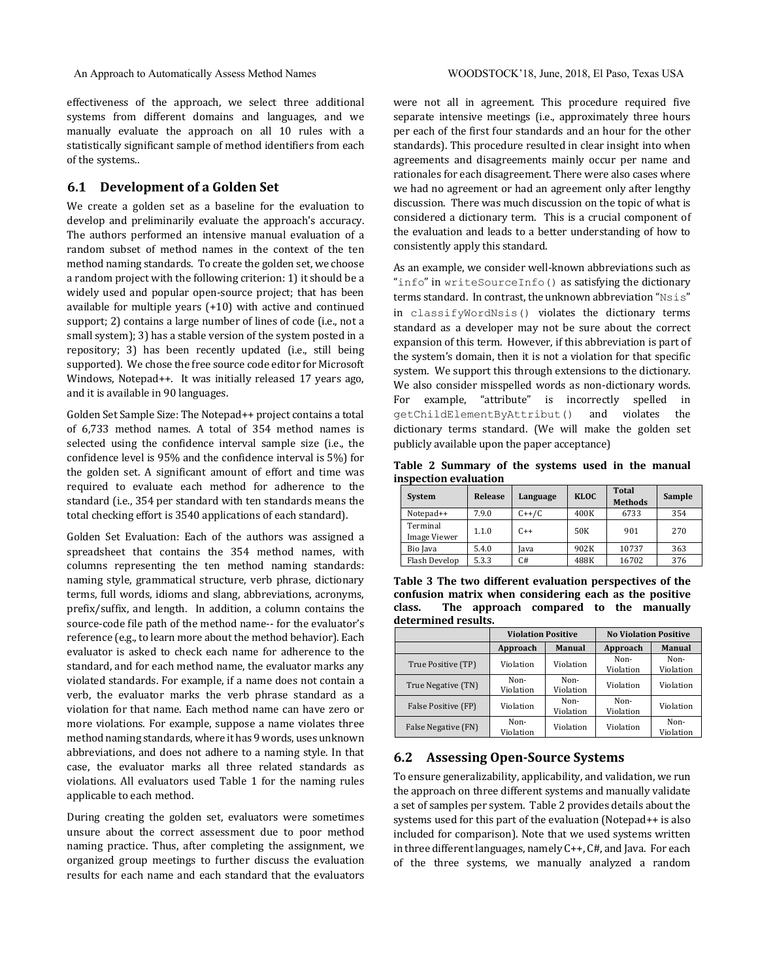An Approach to Automatically Assess Method Names WOODSTOCK'18, June, 2018, El Paso, Texas USA

effectiveness of the approach, we select three additional systems from different domains and languages, and we manually evaluate the approach on all 10 rules with a statistically significant sample of method identifiers from each of the systems..

### **6.1 Development of a Golden Set**

We create a golden set as a baseline for the evaluation to develop and preliminarily evaluate the approach's accuracy. The authors performed an intensive manual evaluation of a random subset of method names in the context of the ten method naming standards. To create the golden set, we choose a random project with the following criterion: 1) it should be a widely used and popular open-source project; that has been available for multiple years  $(+10)$  with active and continued support; 2) contains a large number of lines of code (i.e., not a small system); 3) has a stable version of the system posted in a repository; 3) has been recently updated (i.e., still being supported). We chose the free source code editor for Microsoft Windows, Notepad++. It was initially released 17 years ago, and it is available in 90 languages.

Golden Set Sample Size: The Notepad++ project contains a total of 6,733 method names. A total of 354 method names is selected using the confidence interval sample size (i.e., the confidence level is 95% and the confidence interval is 5%) for the golden set. A significant amount of effort and time was required to evaluate each method for adherence to the standard (i.e., 354 per standard with ten standards means the total checking effort is 3540 applications of each standard).

Golden Set Evaluation: Each of the authors was assigned a spreadsheet that contains the 354 method names, with columns representing the ten method naming standards: naming style, grammatical structure, verb phrase, dictionary terms, full words, idioms and slang, abbreviations, acronyms, prefix/suffix, and length. In addition, a column contains the source-code file path of the method name-- for the evaluator's reference (e.g., to learn more about the method behavior). Each evaluator is asked to check each name for adherence to the standard, and for each method name, the evaluator marks any violated standards. For example, if a name does not contain a verb, the evaluator marks the verb phrase standard as a violation for that name. Each method name can have zero or more violations. For example, suppose a name violates three method naming standards, where it has 9 words, uses unknown abbreviations, and does not adhere to a naming style. In that case, the evaluator marks all three related standards as violations. All evaluators used Table 1 for the naming rules applicable to each method.

During creating the golden set, evaluators were sometimes unsure about the correct assessment due to poor method naming practice. Thus, after completing the assignment, we organized group meetings to further discuss the evaluation results for each name and each standard that the evaluators

were not all in agreement. This procedure required five separate intensive meetings (i.e., approximately three hours per each of the first four standards and an hour for the other standards). This procedure resulted in clear insight into when agreements and disagreements mainly occur per name and rationales for each disagreement. There were also cases where we had no agreement or had an agreement only after lengthy discussion. There was much discussion on the topic of what is considered a dictionary term. This is a crucial component of the evaluation and leads to a better understanding of how to consistently apply this standard.

As an example, we consider well-known abbreviations such as "info" in writeSourceInfo() as satisfying the dictionary terms standard. In contrast, the unknown abbreviation "Nsis" in classifyWordNsis() violates the dictionary terms standard as a developer may not be sure about the correct expansion of this term. However, if this abbreviation is part of the system's domain, then it is not a violation for that specific system. We support this through extensions to the dictionary. We also consider misspelled words as non-dictionary words. For example, "attribute" is incorrectly spelled in getChildElementByAttribut() and violates the dictionary terms standard. (We will make the golden set publicly available upon the paper acceptance)

Table 2 Summary of the systems used in the manual **inspection evaluation**

| <b>System</b>            | Release | Language | <b>KLOC</b> | Total<br><b>Methods</b> | Sample |
|--------------------------|---------|----------|-------------|-------------------------|--------|
| Notepad++                | 7.9.0   | $C++/C$  | 400K        | 6733                    | 354    |
| Terminal<br>Image Viewer | 1.1.0   | $C++$    | 50K         | 901                     | 270    |
| Bio Java                 | 5.4.0   | Iava     | 902K        | 10737                   | 363    |
| Flash Develop            | 5.3.3   | C#       | 488K        | 16702                   | 376    |

**Table 3 The two different evaluation perspectives of the** confusion matrix when considering each as the positive class. The approach compared to the manually **determined results.**

|                     | <b>Violation Positive</b> |                   | <b>No Violation Positive</b> |                   |  |
|---------------------|---------------------------|-------------------|------------------------------|-------------------|--|
|                     | Approach                  | <b>Manual</b>     | Approach                     | <b>Manual</b>     |  |
| True Positive (TP)  | Violation                 | Violation         | Non-<br>Violation            | Non-<br>Violation |  |
| True Negative (TN)  | Non-<br>Violation         | Non-<br>Violation | Violation                    | Violation         |  |
| False Positive (FP) | Violation                 | Non-<br>Violation | Non-<br>Violation            | Violation         |  |
| False Negative (FN) | Non-<br>Violation         | Violation         | Violation                    | Non-<br>Violation |  |

#### **6.2 Assessing Open-Source Systems**

To ensure generalizability, applicability, and validation, we run the approach on three different systems and manually validate a set of samples per system. Table 2 provides details about the systems used for this part of the evaluation (Notepad $++$  is also included for comparison). Note that we used systems written in three different languages, namely  $C++$ ,  $C#$ , and Java. For each of the three systems, we manually analyzed a random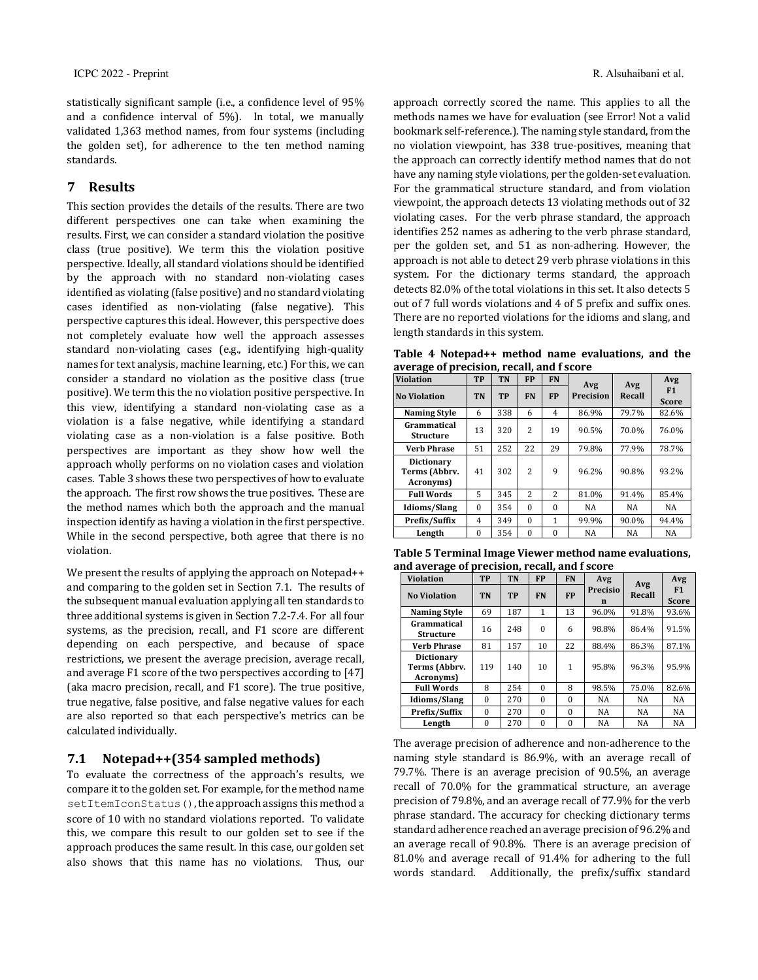statistically significant sample (i.e., a confidence level of 95% and a confidence interval of 5%). In total, we manually validated 1,363 method names, from four systems (including the golden set), for adherence to the ten method naming standards.

#### **7 Results**

This section provides the details of the results. There are two different perspectives one can take when examining the results. First, we can consider a standard violation the positive class (true positive). We term this the violation positive perspective. Ideally, all standard violations should be identified by the approach with no standard non-violating cases identified as violating (false positive) and no standard violating cases identified as non-violating (false negative). This perspective captures this ideal. However, this perspective does not completely evaluate how well the approach assesses standard non-violating cases (e.g., identifying high-quality names for text analysis, machine learning, etc.) For this, we can consider a standard no violation as the positive class (true positive). We term this the no violation positive perspective. In this view, identifying a standard non-violating case as a violation is a false negative, while identifying a standard violating case as a non-violation is a false positive. Both perspectives are important as they show how well the approach wholly performs on no violation cases and violation cases. Table 3 shows these two perspectives of how to evaluate the approach. The first row shows the true positives. These are the method names which both the approach and the manual inspection identify as having a violation in the first perspective. While in the second perspective, both agree that there is no violation. 

We present the results of applying the approach on Notepad++ and comparing to the golden set in Section 7.1. The results of the subsequent manual evaluation applying all ten standards to three additional systems is given in Section 7.2-7.4. For all four systems, as the precision, recall, and F1 score are different depending on each perspective, and because of space restrictions, we present the average precision, average recall, and average  $F1$  score of the two perspectives according to  $[47]$ (aka macro precision, recall, and F1 score). The true positive, true negative, false positive, and false negative values for each are also reported so that each perspective's metrics can be calculated individually.

## **7.1 Notepad++(354 sampled methods)**

To evaluate the correctness of the approach's results, we compare it to the golden set. For example, for the method name setItemIconStatus(), the approach assigns this method a score of 10 with no standard violations reported. To validate this, we compare this result to our golden set to see if the approach produces the same result. In this case, our golden set also shows that this name has no violations. Thus, our

approach correctly scored the name. This applies to all the methods names we have for evaluation (see Error! Not a valid bookmark self-reference.). The naming style standard, from the no violation viewpoint, has 338 true-positives, meaning that the approach can correctly identify method names that do not have any naming style violations, per the golden-set evaluation. For the grammatical structure standard, and from violation viewpoint, the approach detects 13 violating methods out of 32 violating cases. For the verb phrase standard, the approach identifies 252 names as adhering to the verb phrase standard, per the golden set, and 51 as non-adhering. However, the approach is not able to detect 29 verb phrase violations in this system. For the dictionary terms standard, the approach detects 82.0% of the total violations in this set. It also detects 5 out of 7 full words violations and 4 of 5 prefix and suffix ones. There are no reported violations for the idioms and slang, and length standards in this system.

**Table 4 Notepad++ method name evaluations, and the**  average of precision, recall, and **f** score

| <b>Violation</b>                                | <b>TP</b>                    | <b>TN</b> | <b>FP</b>      | <b>FN</b>      | Avg       | Avg                | Avg   |
|-------------------------------------------------|------------------------------|-----------|----------------|----------------|-----------|--------------------|-------|
| <b>No Violation</b>                             | <b>TP</b><br>TN<br><b>FN</b> |           | <b>FP</b>      | Precision      | Recall    | F1<br><b>Score</b> |       |
| <b>Naming Style</b>                             | 6                            | 338       | 6              | $\overline{4}$ | 86.9%     | 79.7%              | 82.6% |
| Grammatical<br>Structure                        | 13                           | 320       | $\overline{c}$ | 19             | 90.5%     | 70.0%              | 76.0% |
| <b>Verb Phrase</b>                              | 51                           | 252       | 22             | 29             | 79.8%     | 77.9%              | 78.7% |
| <b>Dictionary</b><br>Terms (Abbrv.<br>Acronyms) | 41                           | 302       | 2              | 9              | 96.2%     | 90.8%              | 93.2% |
| <b>Full Words</b>                               | 5                            | 345       | $\overline{c}$ | $\mathfrak{D}$ | 81.0%     | 91.4%              | 85.4% |
| <b>Idioms/Slang</b>                             | $\Omega$                     | 354       | $\theta$       | $\Omega$       | <b>NA</b> | NA                 | NA    |
| Prefix/Suffix                                   | 4                            | 349       | $\Omega$       | 1              | 99.9%     | 90.0%              | 94.4% |
| Length                                          | $\Omega$                     | 354       | $\theta$       | $\Omega$       | NA        | NA                 | NA    |

| Table 5 Terminal Image Viewer method name evaluations, |
|--------------------------------------------------------|
| and average of precision, recall, and f score          |

| <b>Violation</b>                                | <b>TP</b> | TN        | <b>FP</b> | <b>FN</b>    | Avg           | Avg       | Avg                |
|-------------------------------------------------|-----------|-----------|-----------|--------------|---------------|-----------|--------------------|
| <b>No Violation</b>                             | <b>TN</b> | <b>TP</b> | <b>FN</b> | <b>FP</b>    | Precisio<br>n | Recall    | F1<br><b>Score</b> |
| <b>Naming Style</b>                             | 69        | 187       | 1         | 13           | 96.0%         | 91.8%     | 93.6%              |
| Grammatical<br><b>Structure</b>                 | 16        | 248       | $\theta$  | 6            | 98.8%         | 86.4%     | 91.5%              |
| <b>Verb Phrase</b>                              | 81        | 157       | 10        | 22           | 88.4%         | 86.3%     | 87.1%              |
| <b>Dictionary</b><br>Terms (Abbrv.<br>Acronyms) | 119       | 140       | 10        | $\mathbf{1}$ | 95.8%         | 96.3%     | 95.9%              |
| <b>Full Words</b>                               | 8         | 254       | $\Omega$  | 8            | 98.5%         | 75.0%     | 82.6%              |
| Idioms/Slang                                    | $\Omega$  | 270       | $\theta$  | $\Omega$     | NA            | NA        | <b>NA</b>          |
| Prefix/Suffix                                   | $\Omega$  | 270       | $\theta$  | $\Omega$     | NA            | NA        | <b>NA</b>          |
| Length                                          | $\Omega$  | 270       | $\theta$  | $\Omega$     | <b>NA</b>     | <b>NA</b> | <b>NA</b>          |

The average precision of adherence and non-adherence to the naming style standard is 86.9%, with an average recall of 79.7%. There is an average precision of 90.5%, an average recall of 70.0% for the grammatical structure, an average precision of 79.8%, and an average recall of 77.9% for the verb phrase standard. The accuracy for checking dictionary terms standard adherence reached an average precision of 96.2% and an average recall of 90.8%. There is an average precision of 81.0% and average recall of 91.4% for adhering to the full words standard. Additionally, the prefix/suffix standard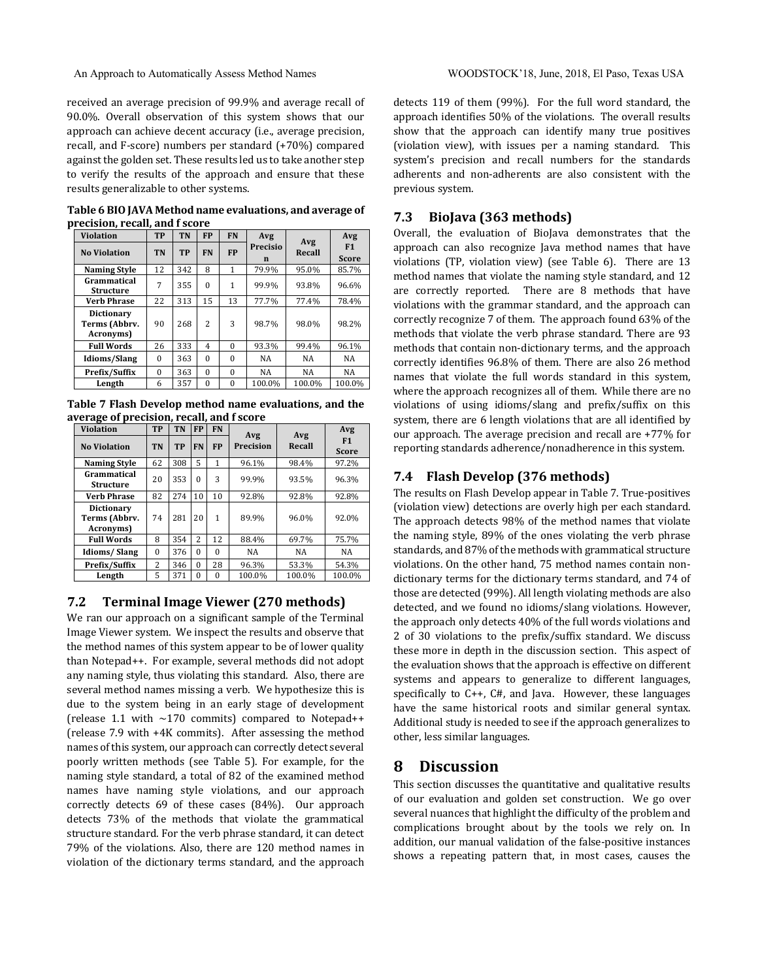An Approach to Automatically Assess Method Names WOODSTOCK'18, June, 2018, El Paso, Texas USA

received an average precision of 99.9% and average recall of 90.0%. Overall observation of this system shows that our approach can achieve decent accuracy (i.e., average precision, recall, and F-score) numbers per standard (+70%) compared against the golden set. These results led us to take another step to verify the results of the approach and ensure that these results generalizable to other systems.

Table 6 BIO JAVA Method name evaluations, and average of **precision, recall, and f score** 

| <b>Violation</b>                                | <b>TP</b> | TN        | <b>FP</b>      | <b>FN</b>    | Avg                  | Avg<br>Recall | Avg                |
|-------------------------------------------------|-----------|-----------|----------------|--------------|----------------------|---------------|--------------------|
| <b>No Violation</b>                             | <b>TN</b> | <b>TP</b> | <b>FN</b>      | <b>FP</b>    | <b>Precisio</b><br>n |               | F1<br><b>Score</b> |
| <b>Naming Style</b>                             | 12        | 342       | 8              | 1            | 79.9%                | 95.0%         | 85.7%              |
| Grammatical<br><b>Structure</b>                 | 7         | 355       | $\theta$       | $\mathbf{1}$ | 99.9%                | 93.8%         | 96.6%              |
| <b>Verb Phrase</b>                              | 22        | 313       | 15             | 13           | 77.7%                | 77.4%         | 78.4%              |
| <b>Dictionary</b><br>Terms (Abbrv.<br>Acronyms) | 90        | 268       | $\overline{c}$ | 3            | 98.7%                | 98.0%         | 98.2%              |
| <b>Full Words</b>                               | 26        | 333       | 4              | $\Omega$     | 93.3%                | 99.4%         | 96.1%              |
| <b>Idioms/Slang</b>                             | $\Omega$  | 363       | $\theta$       | $\Omega$     | <b>NA</b>            | NA            | NA                 |
| Prefix/Suffix                                   | $\Omega$  | 363       | $\theta$       | $\Omega$     | <b>NA</b>            | NA            | NA                 |
| Length                                          | 6         | 357       | $\Omega$       | $\Omega$     | 100.0%               | 100.0%        | 100.0%             |

Table 7 Flash Develop method name evaluations, and the average of precision, recall, and f score

| <b>Violation</b>                         | <b>TP</b>      | <b>TN</b> | <b>FP</b> | <b>FN</b> | Avg       | Avg    | Avg                |
|------------------------------------------|----------------|-----------|-----------|-----------|-----------|--------|--------------------|
| <b>No Violation</b>                      | <b>TN</b>      | <b>TP</b> | <b>FN</b> | <b>FP</b> | Precision | Recall | F1<br><b>Score</b> |
| <b>Naming Style</b>                      | 62             | 308       | 5         | 1         | 96.1%     | 98.4%  | 97.2%              |
| Grammatical<br><b>Structure</b>          | 20             | 353       | $\Omega$  | 3         | 99.9%     | 93.5%  | 96.3%              |
| Verb Phrase                              | 82             | 274       | 10        | 10        | 92.8%     | 92.8%  | 92.8%              |
| Dictionary<br>Terms (Abbrv.<br>Acronyms) | 74             | 281       | 20        | 1         | 89.9%     | 96.0%  | 92.0%              |
| <b>Full Words</b>                        | 8              | 354       | 2         | 12        | 88.4%     | 69.7%  | 75.7%              |
| Idioms/Slang                             | $\Omega$       | 376       | $\Omega$  | $\Omega$  | <b>NA</b> | NA     | NA                 |
| Prefix/Suffix                            | $\overline{c}$ | 346       | $\Omega$  | 28        | 96.3%     | 53.3%  | 54.3%              |
| Length                                   | 5              | 371       | $\Omega$  | $\Omega$  | 100.0%    | 100.0% | 100.0%             |

## **7.2 Terminal Image Viewer (270 methods)**

We ran our approach on a significant sample of the Terminal Image Viewer system. We inspect the results and observe that the method names of this system appear to be of lower quality than Notepad++. For example, several methods did not adopt any naming style, thus violating this standard. Also, there are several method names missing a verb. We hypothesize this is due to the system being in an early stage of development (release 1.1 with  $\sim$ 170 commits) compared to Notepad++ (release 7.9 with +4K commits). After assessing the method names of this system, our approach can correctly detect several poorly written methods (see Table 5). For example, for the naming style standard, a total of 82 of the examined method names have naming style violations, and our approach correctly detects 69 of these cases (84%). Our approach detects 73% of the methods that violate the grammatical structure standard. For the verb phrase standard, it can detect 79% of the violations. Also, there are 120 method names in violation of the dictionary terms standard, and the approach

detects 119 of them (99%). For the full word standard, the approach identifies 50% of the violations. The overall results show that the approach can identify many true positives (violation view), with issues per a naming standard. This system's precision and recall numbers for the standards adherents and non-adherents are also consistent with the previous system.

## **7.3 BioJava (363 methods)**

Overall, the evaluation of BioJava demonstrates that the approach can also recognize Java method names that have violations  $(TP,$  violation view) (see Table 6). There are 13 method names that violate the naming style standard, and 12 are correctly reported. There are 8 methods that have violations with the grammar standard, and the approach can correctly recognize 7 of them. The approach found 63% of the methods that violate the verb phrase standard. There are 93 methods that contain non-dictionary terms, and the approach correctly identifies 96.8% of them. There are also 26 method names that violate the full words standard in this system, where the approach recognizes all of them. While there are no violations of using idioms/slang and prefix/suffix on this system, there are 6 length violations that are all identified by our approach. The average precision and recall are +77% for reporting standards adherence/nonadherence in this system.

## **7.4 Flash Develop (376 methods)**

The results on Flash Develop appear in Table 7. True-positives (violation view) detections are overly high per each standard. The approach detects 98% of the method names that violate the naming style,  $89\%$  of the ones violating the verb phrase standards, and 87% of the methods with grammatical structure violations. On the other hand, 75 method names contain nondictionary terms for the dictionary terms standard, and 74 of those are detected (99%). All length violating methods are also detected, and we found no idioms/slang violations. However, the approach only detects 40% of the full words violations and 2 of 30 violations to the prefix/suffix standard. We discuss these more in depth in the discussion section. This aspect of the evaluation shows that the approach is effective on different systems and appears to generalize to different languages, specifically to  $C_{++}$ ,  $C_{++}$ , and Java. However, these languages have the same historical roots and similar general syntax. Additional study is needed to see if the approach generalizes to other, less similar languages.

## **8 Discussion**

This section discusses the quantitative and qualitative results of our evaluation and golden set construction. We go over several nuances that highlight the difficulty of the problem and complications brought about by the tools we rely on. In addition, our manual validation of the false-positive instances shows a repeating pattern that, in most cases, causes the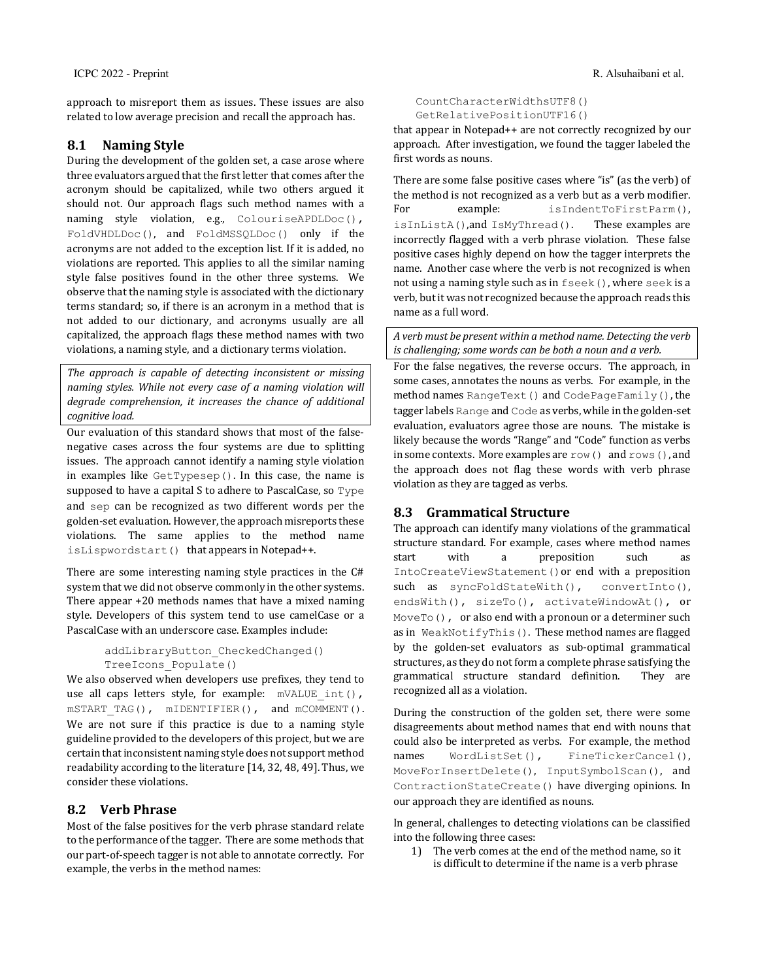approach to misreport them as issues. These issues are also related to low average precision and recall the approach has.

## **8.1 Naming Style**

During the development of the golden set, a case arose where three evaluators argued that the first letter that comes after the acronym should be capitalized, while two others argued it should not. Our approach flags such method names with a naming style violation, e.g., ColouriseAPDLDoc(), FoldVHDLDoc(), and FoldMSSQLDoc() only if the acronyms are not added to the exception list. If it is added, no violations are reported. This applies to all the similar naming style false positives found in the other three systems. We observe that the naming style is associated with the dictionary terms standard; so, if there is an acronym in a method that is not added to our dictionary, and acronyms usually are all capitalized, the approach flags these method names with two violations, a naming style, and a dictionary terms violation.

The approach is capable of detecting inconsistent or missing *naming styles.* While not every case of a naming violation will degrade comprehension, it increases the chance of additional *cognitive load.*

Our evaluation of this standard shows that most of the falsenegative cases across the four systems are due to splitting issues. The approach cannot identify a naming style violation in examples like  $GetTypesep()$ . In this case, the name is supposed to have a capital S to adhere to PascalCase, so Type and sep can be recognized as two different words per the golden-set evaluation. However, the approach misreports these violations. The same applies to the method name isLispwordstart() that appears in Notepad++.

There are some interesting naming style practices in the  $C#$ system that we did not observe commonly in the other systems. There appear  $+20$  methods names that have a mixed naming style. Developers of this system tend to use camelCase or a PascalCase with an underscore case. Examples include:

```
addLibraryButton_CheckedChanged()
TreeIcons_Populate()
```
We also observed when developers use prefixes, they tend to use all caps letters style, for example:  $m$ VALUE int(), mSTART TAG(), mIDENTIFIER(), and mCOMMENT(). We are not sure if this practice is due to a naming style guideline provided to the developers of this project, but we are certain that inconsistent naming style does not support method readability according to the literature  $[14, 32, 48, 49]$ . Thus, we consider these violations.

## **8.2 Verb Phrase**

Most of the false positives for the verb phrase standard relate to the performance of the tagger. There are some methods that our part-of-speech tagger is not able to annotate correctly. For example, the verbs in the method names:

CountCharacterWidthsUTF8() GetRelativePositionUTF16()

that appear in Notepad++ are not correctly recognized by our approach. After investigation, we found the tagger labeled the first words as nouns.

There are some false positive cases where "is" (as the verb) of the method is not recognized as a verb but as a verb modifier. For example: isIndentToFirstParm(), isInListA(),and IsMyThread(). These examples are incorrectly flagged with a verb phrase violation. These false positive cases highly depend on how the tagger interprets the name. Another case where the verb is not recognized is when not using a naming style such as in  $f$  seek(), where seek is a verb, but it was not recognized because the approach reads this name as a full word.

*A verb must be present within a method name. Detecting the verb is* challenging; some words can be both a noun and a verb.

For the false negatives, the reverse occurs. The approach, in some cases, annotates the nouns as verbs. For example, in the method names RangeText () and CodePageFamily(), the tagger labels Range and Code as verbs, while in the golden-set evaluation, evaluators agree those are nouns. The mistake is likely because the words "Range" and "Code" function as verbs in some contexts. More examples are  $\text{row}($  and  $\text{rows}($  , and the approach does not flag these words with verb phrase violation as they are tagged as verbs.

## **8.3 Grammatical Structure**

The approach can identify many violations of the grammatical structure standard. For example, cases where method names start with a preposition such as IntoCreateViewStatement() or end with a preposition such as syncFoldStateWith(), convertInto(), endsWith(), sizeTo(), activateWindowAt(), or MoveTo(), or also end with a pronoun or a determiner such as in WeakNotifyThis(). These method names are flagged by the golden-set evaluators as sub-optimal grammatical structures, as they do not form a complete phrase satisfying the grammatical structure standard definition. They are recognized all as a violation.

During the construction of the golden set, there were some disagreements about method names that end with nouns that could also be interpreted as verbs. For example, the method names WordListSet(), FineTickerCancel(), MoveForInsertDelete(), InputSymbolScan(), and ContractionStateCreate() have diverging opinions. In our approach they are identified as nouns.

In general, challenges to detecting violations can be classified into the following three cases:

1) The verb comes at the end of the method name, so it is difficult to determine if the name is a verb phrase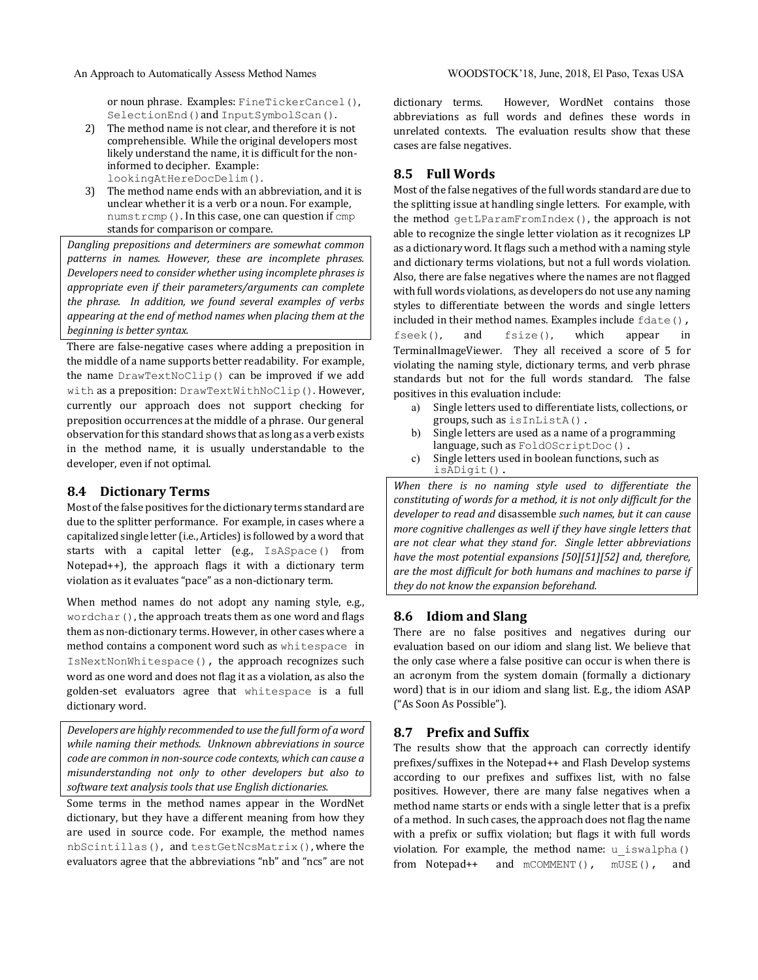or noun phrase. Examples: FineTickerCancel(), SelectionEnd() and InputSymbolScan().

- 2) The method name is not clear, and therefore it is not comprehensible. While the original developers most likely understand the name, it is difficult for the noninformed to decipher. Example: lookingAtHereDocDelim().
- 3) The method name ends with an abbreviation, and it is unclear whether it is a verb or a noun. For example, numstrcmp(). In this case, one can question if  $cmp$ stands for comparison or compare.

Dangling prepositions and determiners are somewhat common patterns in names. However, these are incomplete phrases. *Developers need to consider whether using incomplete phrases is* appropriate even if their parameters/arguments can complete *the phrase. In addition, we found several examples of verbs* appearing at the end of method names when placing them at the *beginning is better syntax.* 

There are false-negative cases where adding a preposition in the middle of a name supports better readability. For example, the name  $DrawTextNoClip()$  can be improved if we add with as a preposition: DrawTextWithNoClip(). However, currently our approach does not support checking for preposition occurrences at the middle of a phrase. Our general observation for this standard shows that as long as a verb exists in the method name, it is usually understandable to the developer, even if not optimal.

#### **8.4 Dictionary Terms**

Most of the false positives for the dictionary terms standard are due to the splitter performance. For example, in cases where a capitalized single letter (i.e., Articles) is followed by a word that starts with a capital letter (e.g., IsASpace() from Notepad++), the approach flags it with a dictionary term violation as it evaluates "pace" as a non-dictionary term.

When method names do not adopt any naming style, e.g., wordchar(), the approach treats them as one word and flags them as non-dictionary terms. However, in other cases where a method contains a component word such as whitespace in IsNextNonWhitespace(), the approach recognizes such word as one word and does not flag it as a violation, as also the golden-set evaluators agree that whitespace is a full dictionary word.

Developers are highly recommended to use the full form of a word *while naming their methods.* Unknown abbreviations in source *code are common in non-source code contexts, which can cause a* misunderstanding not only to other developers but also to software text analysis tools that use English dictionaries.

Some terms in the method names appear in the WordNet dictionary, but they have a different meaning from how they are used in source code. For example, the method names nbScintillas(), and testGetNcsMatrix(), where the evaluators agree that the abbreviations "nb" and "ncs" are not dictionary terms. However, WordNet contains those abbreviations as full words and defines these words in unrelated contexts. The evaluation results show that these cases are false negatives.

## **8.5 Full Words**

Most of the false negatives of the full words standard are due to the splitting issue at handling single letters. For example, with the method  $getLParamFromIndex()$ , the approach is not able to recognize the single letter violation as it recognizes LP as a dictionary word. It flags such a method with a naming style and dictionary terms violations, but not a full words violation. Also, there are false negatives where the names are not flagged with full words violations, as developers do not use any naming styles to differentiate between the words and single letters included in their method names. Examples include  $fdate()$ , fseek(), and fsize(), which appear in TerminalImageViewer. They all received a score of 5 for violating the naming style, dictionary terms, and verb phrase standards but not for the full words standard. The false positives in this evaluation include:

- a) Single letters used to differentiate lists, collections, or groups, such as isInListA().
- b) Single letters are used as a name of a programming language, such as FoldOScriptDoc().
- c) Single letters used in boolean functions, such as isADigit().

When there is no naming style used to differentiate the *constituting of words for a method, it is not only difficult for the* developer to read and disassemble such names, but it can cause *more cognitive challenges as well if they have single letters that are not clear what they stand for. Single letter abbreviations* have the most potential expansions [50][51][52] and, therefore, are the most difficult for both humans and machines to parse if they do not know the expansion beforehand.

#### **8.6 Idiom and Slang**

There are no false positives and negatives during our evaluation based on our idiom and slang list. We believe that the only case where a false positive can occur is when there is an acronym from the system domain (formally a dictionary word) that is in our idiom and slang list. E.g., the idiom ASAP ("As Soon As Possible").

#### **8.7 Prefix and Suffix**

The results show that the approach can correctly identify prefixes/suffixes in the Notepad++ and Flash Develop systems according to our prefixes and suffixes list, with no false positives. However, there are many false negatives when a method name starts or ends with a single letter that is a prefix of a method. In such cases, the approach does not flag the name with a prefix or suffix violation; but flags it with full words violation. For example, the method name:  $u$  iswalpha() from Notepad++ and mCOMMENT(), mUSE(), and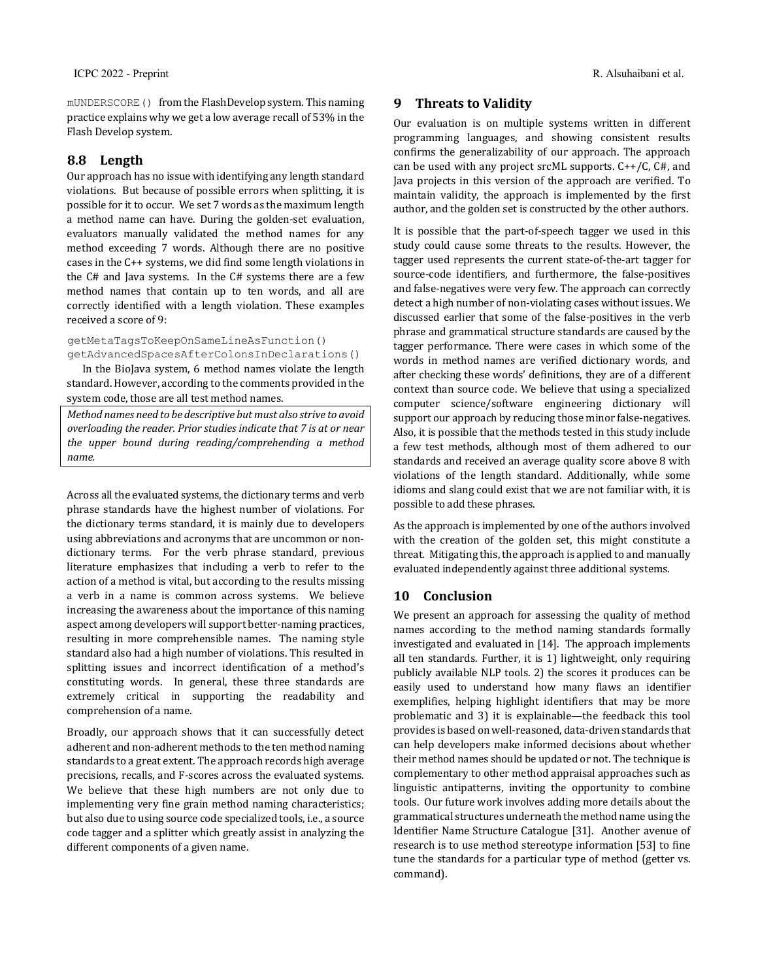mUNDERSCORE() from the FlashDevelop system. This naming practice explains why we get a low average recall of 53% in the Flash Develop system.

## **8.8 Length**

Our approach has no issue with identifying any length standard violations. But because of possible errors when splitting, it is possible for it to occur. We set 7 words as the maximum length a method name can have. During the golden-set evaluation, evaluators manually validated the method names for any method exceeding 7 words. Although there are no positive cases in the  $C++$  systems, we did find some length violations in the  $C#$  and Java systems. In the  $C#$  systems there are a few method names that contain up to ten words, and all are correctly identified with a length violation. These examples received a score of 9:

getMetaTagsToKeepOnSameLineAsFunction() getAdvancedSpacesAfterColonsInDeclarations()

In the BioJava system, 6 method names violate the length standard. However, according to the comments provided in the system code, those are all test method names.

*Method names need to be descriptive but must also strive to avoid overloading the reader. Prior studies indicate that 7 is at or near* the upper bound during reading/comprehending a method *name.*

Across all the evaluated systems, the dictionary terms and verb phrase standards have the highest number of violations. For the dictionary terms standard, it is mainly due to developers using abbreviations and acronyms that are uncommon or nondictionary terms. For the verb phrase standard, previous literature emphasizes that including a verb to refer to the action of a method is vital, but according to the results missing a verb in a name is common across systems. We believe increasing the awareness about the importance of this naming aspect among developers will support better-naming practices, resulting in more comprehensible names. The naming style standard also had a high number of violations. This resulted in splitting issues and incorrect identification of a method's constituting words. In general, these three standards are extremely critical in supporting the readability and comprehension of a name.

Broadly, our approach shows that it can successfully detect adherent and non-adherent methods to the ten method naming standards to a great extent. The approach records high average precisions, recalls, and F-scores across the evaluated systems. We believe that these high numbers are not only due to implementing very fine grain method naming characteristics; but also due to using source code specialized tools, i.e., a source code tagger and a splitter which greatly assist in analyzing the different components of a given name.

## **9** Threats to Validity

Our evaluation is on multiple systems written in different programming languages, and showing consistent results confirms the generalizability of our approach. The approach can be used with any project srcML supports.  $C++/C$ ,  $C#$ , and Java projects in this version of the approach are verified. To maintain validity, the approach is implemented by the first author, and the golden set is constructed by the other authors.

It is possible that the part-of-speech tagger we used in this study could cause some threats to the results. However, the tagger used represents the current state-of-the-art tagger for source-code identifiers, and furthermore, the false-positives and false-negatives were very few. The approach can correctly detect a high number of non-violating cases without issues. We discussed earlier that some of the false-positives in the verb phrase and grammatical structure standards are caused by the tagger performance. There were cases in which some of the words in method names are verified dictionary words, and after checking these words' definitions, they are of a different context than source code. We believe that using a specialized computer science/software engineering dictionary will support our approach by reducing those minor false-negatives. Also, it is possible that the methods tested in this study include a few test methods, although most of them adhered to our standards and received an average quality score above 8 with violations of the length standard. Additionally, while some idioms and slang could exist that we are not familiar with, it is possible to add these phrases.

As the approach is implemented by one of the authors involved with the creation of the golden set, this might constitute a threat. Mitigating this, the approach is applied to and manually evaluated independently against three additional systems.

## **10 Conclusion**

We present an approach for assessing the quality of method names according to the method naming standards formally investigated and evaluated in [14]. The approach implements all ten standards. Further, it is 1) lightweight, only requiring publicly available NLP tools. 2) the scores it produces can be easily used to understand how many flaws an identifier exemplifies, helping highlight identifiers that may be more problematic and 3) it is explainable—the feedback this tool provides is based on well-reasoned, data-driven standards that can help developers make informed decisions about whether their method names should be updated or not. The technique is complementary to other method appraisal approaches such as linguistic antipatterns, inviting the opportunity to combine tools. Our future work involves adding more details about the grammatical structures underneath the method name using the Identifier Name Structure Catalogue [31]. Another avenue of research is to use method stereotype information [53] to fine tune the standards for a particular type of method (getter vs. command).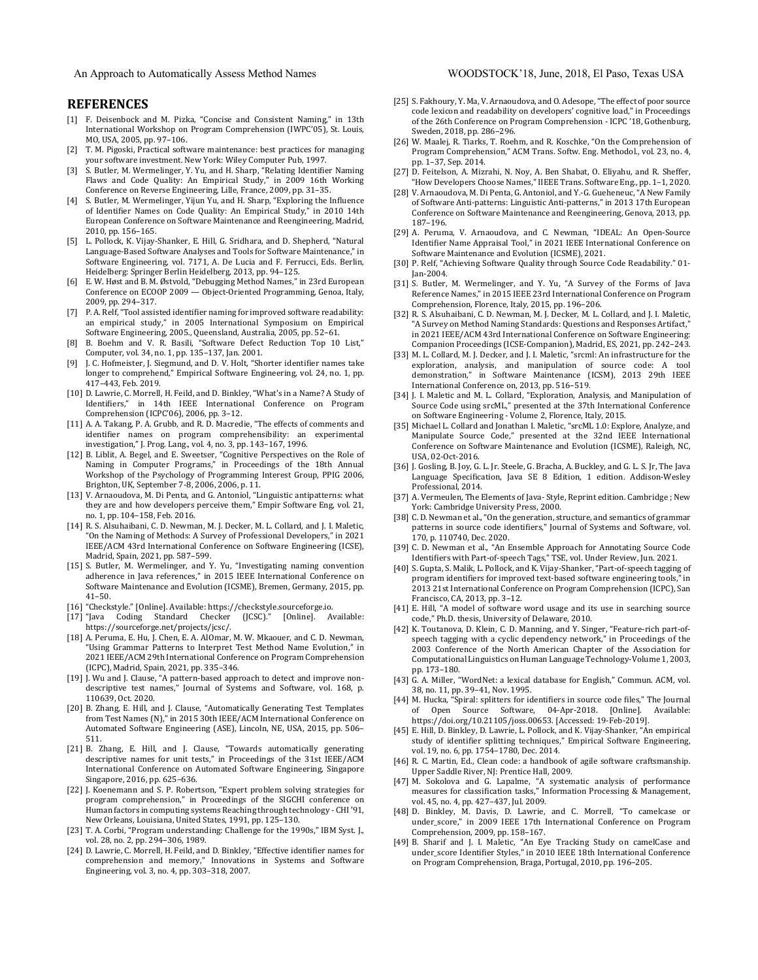An Approach to Automatically Assess Method Names WOODSTOCK'18, June, 2018, El Paso, Texas USA

#### **REFERENCES**

- [1] F. Deisenbock and M. Pizka, "Concise and Consistent Naming," in 13th International Workshop on Program Comprehension (IWPC'05), St. Louis, MO, USA, 2005, pp. 97-106.
- [2] T. M. Pigoski, Practical software maintenance: best practices for managing your software investment. New York: Wiley Computer Pub, 1997.
- [3] S. Butler, M. Wermelinger, Y. Yu, and H. Sharp, "Relating Identifier Naming Flaws and Code Quality: An Empirical Study," in 2009 16th Working Conference on Reverse Engineering, Lille, France, 2009, pp. 31-35.
- [4] S. Butler, M. Wermelinger, Yijun Yu, and H. Sharp, "Exploring the Influence of Identifier Names on Code Quality: An Empirical Study," in 2010 14th European Conference on Software Maintenance and Reengineering, Madrid, 2010, pp. 156-165.
- L. Pollock, K. Vijay-Shanker, E. Hill, G. Sridhara, and D. Shepherd, "Natural Language-Based Software Analyses and Tools for Software Maintenance," in Software Engineering, vol. 7171, A. De Lucia and F. Ferrucci, Eds. Berlin, Heidelberg: Springer Berlin Heidelberg, 2013, pp. 94-125.
- [6] E. W. Høst and B. M. Østvold, "Debugging Method Names," in 23rd European Conference on ECOOP 2009 — Object-Oriented Programming, Genoa, Italy, 2009, pp. 294-317.
- [7] P.A. Relf, "Tool assisted identifier naming for improved software readability: an empirical study," in 2005 International Symposium on Empirical Software Engineering, 2005., Queensland, Australia, 2005, pp. 52-61.
- [8] B. Boehm and V. R. Basili, "Software Defect Reduction Top 10 List," Computer, vol. 34, no. 1, pp. 135-137, Jan. 2001.
- [9] J. C. Hofmeister, J. Siegmund, and D. V. Holt, "Shorter identifier names take longer to comprehend," Empirical Software Engineering, vol. 24, no. 1, pp. 417-443, Feb. 2019.
- [10] D. Lawrie, C. Morrell, H. Feild, and D. Binkley, "What's in a Name? A Study of Identifiers," in 14th IEEE International Conference on Program Comprehension (ICPC'06), 2006, pp. 3-12.
- [11] A. A. Takang, P. A. Grubb, and R. D. Macredie, "The effects of comments and identifier names on program comprehensibility: an experimental investigation," J. Prog. Lang., vol. 4, no. 3, pp. 143-167, 1996.
- [12] B. Liblit, A. Begel, and E. Sweetser, "Cognitive Perspectives on the Role of Naming in Computer Programs," in Proceedings of the 18th Annual Workshop of the Psychology of Programming Interest Group, PPIG 2006, Brighton, UK, September 7-8, 2006, 2006, p. 11.
- [13] V. Arnaoudova, M. Di Penta, and G. Antoniol, "Linguistic antipatterns: what they are and how developers perceive them," Empir Software Eng, vol. 21, no. 1, pp. 104-158, Feb. 2016.
- [14] R. S. Alsuhaibani, C. D. Newman, M. J. Decker, M. L. Collard, and J. I. Maletic, 'On the Naming of Methods: A Survey of Professional Developers," in 2021 IEEE/ACM 43rd International Conference on Software Engineering (ICSE), Madrid, Spain, 2021, pp. 587-599.
- [15] S. Butler, M. Wermelinger, and Y. Yu, "Investigating naming convention adherence in Java references," in 2015 IEEE International Conference on Software Maintenance and Evolution (ICSME), Bremen, Germany, 2015, pp. 41–50.
- [16] "Checkstyle." [Online]. Available: https://checkstyle.sourceforge.io.
- [17] "Java Coding Standard Checker (JCSC)." [Online]. Available: https://sourceforge.net/projects/jcsc/.
- [18] A. Peruma, E. Hu, J. Chen, E. A. AlOmar, M. W. Mkaouer, and C. D. Newman, "Using Grammar Patterns to Interpret Test Method Name Evolution," in 2021 IEEE/ACM 29th International Conference on Program Comprehension (ICPC), Madrid, Spain, 2021, pp. 335-346.
- [19] J. Wu and J. Clause, "A pattern-based approach to detect and improve nondescriptive test names," Journal of Systems and Software, vol. 168, p. 110639, Oct. 2020.
- [20] B. Zhang, E. Hill, and J. Clause, "Automatically Generating Test Templates from Test Names (N)," in 2015 30th IEEE/ACM International Conference on Automated Software Engineering (ASE), Lincoln, NE, USA, 2015, pp. 506-511.
- [21] B. Zhang, E. Hill, and J. Clause, "Towards automatically generating descriptive names for unit tests," in Proceedings of the 31st IEEE/ACM International Conference on Automated Software Engineering, Singapore Singapore, 2016, pp. 625-636.
- [22] J. Koenemann and S. P. Robertson, "Expert problem solving strategies for program comprehension," in Proceedings of the SIGCHI conference on Human factors in computing systems Reaching through technology - CHI '91, New Orleans, Louisiana, United States, 1991, pp. 125-130.
- [23] T. A. Corbi, "Program understanding: Challenge for the 1990s," IBM Syst. J., vol. 28, no. 2, pp. 294-306, 1989.
- [24] D. Lawrie, C. Morrell, H. Feild, and D. Binkley, "Effective identifier names for comprehension and memory," Innovations in Systems and Software Engineering, vol. 3, no. 4, pp. 303-318, 2007.
- [25] S. Fakhoury, Y. Ma, V. Arnaoudova, and O. Adesope, "The effect of poor source code lexicon and readability on developers' cognitive load," in Proceedings of the 26th Conference on Program Comprehension - ICPC '18, Gothenburg, Sweden, 2018, pp. 286-296.
- [26] W. Maalej, R. Tiarks, T. Roehm, and R. Koschke, "On the Comprehension of Program Comprehension," ACM Trans. Softw. Eng. Methodol., vol. 23, no. 4, pp. 1–37, Sep. 2014.
- [27] D. Feitelson, A. Mizrahi, N. Noy, A. Ben Shabat, O. Eliyahu, and R. Sheffer, "How Developers Choose Names," IIEEE Trans. Software Eng., pp. 1-1, 2020.
- [28] V. Arnaoudova, M. Di Penta, G. Antoniol, and Y.-G. Gueheneuc, "A New Family of Software Anti-patterns: Linguistic Anti-patterns," in 2013 17th European Conference on Software Maintenance and Reengineering, Genova, 2013, pp. 187–196.
- [29] A. Peruma, V. Arnaoudova, and C. Newman, "IDEAL: An Open-Source Identifier Name Appraisal Tool," in 2021 IEEE International Conference on Software Maintenance and Evolution (ICSME), 2021.
- [30] P. Relf, "Achieving Software Quality through Source Code Readability." 01-Jan-2004.
- [31] S. Butler, M. Wermelinger, and Y. Yu, "A Survey of the Forms of Java Reference Names," in 2015 IEEE 23rd International Conference on Program Comprehension, Florence, Italy, 2015, pp. 196-206.
- [32] R. S. Alsuhaibani, C. D. Newman, M. J. Decker, M. L. Collard, and J. I. Maletic, "A Survey on Method Naming Standards: Questions and Responses Artifact," in 2021 IEEE/ACM 43rd International Conference on Software Engineering: Companion Proceedings (ICSE-Companion), Madrid, ES, 2021, pp. 242–243.
- [33] M. L. Collard, M. J. Decker, and J. I. Maletic, "srcml: An infrastructure for the exploration, analysis, and manipulation of source code: A tool demonstration," in Software Maintenance (ICSM), 2013 29th IEEE International Conference on, 2013, pp. 516-519.
- [34] J. I. Maletic and M. L. Collard, "Exploration, Analysis, and Manipulation of Source Code using srcML," presented at the 37th International Conference on Software Engineering - Volume 2, Florence, Italy, 2015.
- [35] Michael L. Collard and Jonathan I. Maletic, "srcML 1.0: Explore, Analyze, and Manipulate Source Code," presented at the 32nd IEEE International Conference on Software Maintenance and Evolution (ICSME), Raleigh, NC, USA, 02-Oct-2016.
- [36] J. Gosling, B. Joy, G. L. Jr. Steele, G. Bracha, A. Buckley, and G. L. S. Jr, The Java Language Specification, Java SE 8 Edition, 1 edition. Addison-Wesley Professional, 2014.
- [37] A. Vermeulen, The Elements of Java- Style, Reprint edition. Cambridge ; New York: Cambridge University Press, 2000.
- [38] C.D. Newman et al., "On the generation, structure, and semantics of grammar patterns in source code identifiers," Journal of Systems and Software, vol. 170, p. 110740, Dec. 2020.
- [39] C. D. Newman et al., "An Ensemble Approach for Annotating Source Code Identifiers with Part-of-speech Tags," TSE, vol. Under Review, Jun. 2021.
- [40] S. Gupta, S. Malik, L. Pollock, and K. Vijay-Shanker, "Part-of-speech tagging of program identifiers for improved text-based software engineering tools," in 2013 21st International Conference on Program Comprehension (ICPC), San Francisco, CA, 2013, pp. 3-12.
- [41] E. Hill, "A model of software word usage and its use in searching source code," Ph.D. thesis, University of Delaware, 2010.
- [42] K. Toutanova, D. Klein, C. D. Manning, and Y. Singer, "Feature-rich part-ofspeech tagging with a cyclic dependency network," in Proceedings of the 2003 Conference of the North American Chapter of the Association for Computational Linguistics on Human Language Technology-Volume 1, 2003, pp. 173–180.
- [43] G. A. Miller, "WordNet: a lexical database for English," Commun. ACM, vol. 38, no. 11, pp. 39-41, Nov. 1995.
- [44] M. Hucka, "Spiral: splitters for identifiers in source code files," The Journal of Open Source Software, 04-Apr-2018. [Online]. Available: https://doi.org/10.21105/joss.00653. [Accessed: 19-Feb-2019].
- [45] E. Hill, D. Binkley, D. Lawrie, L. Pollock, and K. Vijay-Shanker, "An empirical study of identifier splitting techniques," Empirical Software Engineering, vol. 19, no. 6, pp. 1754-1780, Dec. 2014.
- [46] R. C. Martin, Ed., Clean code: a handbook of agile software craftsmanship. Upper Saddle River, NJ: Prentice Hall, 2009.
- [47] M. Sokolova and G. Lapalme, "A systematic analysis of performance measures for classification tasks," Information Processing & Management, vol. 45, no. 4, pp. 427-437, Jul. 2009.
- [48] D. Binkley, M. Davis, D. Lawrie, and C. Morrell, "To camelcase or under\_score," in 2009 IEEE 17th International Conference on Program Comprehension, 2009, pp. 158-167.
- [49] B. Sharif and J. I. Maletic, "An Eye Tracking Study on camelCase and under\_score Identifier Styles," in 2010 IEEE 18th International Conference on Program Comprehension, Braga, Portugal, 2010, pp. 196-205.